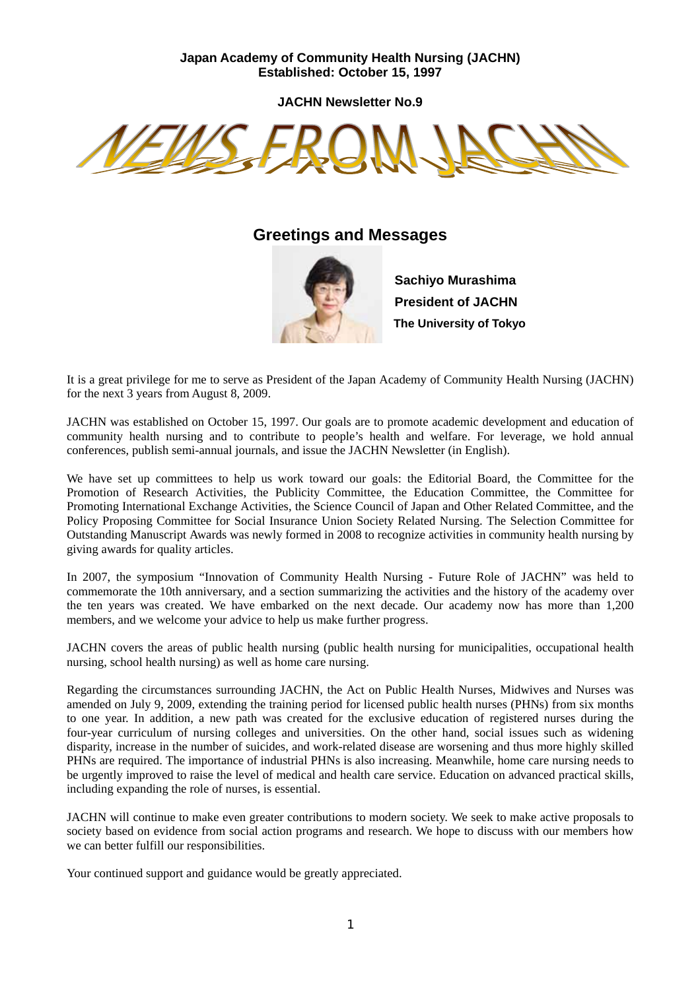# **Japan Academy of Community Health Nursing (JACHN) Established: October 15, 1997**

**JACHN Newsletter No.9** 



# **Greetings and Messages**



**Sachiyo Murashima President of JACHN The University of Tokyo** 

It is a great privilege for me to serve as President of the Japan Academy of Community Health Nursing (JACHN) for the next 3 years from August 8, 2009.

JACHN was established on October 15, 1997. Our goals are to promote academic development and education of community health nursing and to contribute to people's health and welfare. For leverage, we hold annual conferences, publish semi-annual journals, and issue the JACHN Newsletter (in English).

We have set up committees to help us work toward our goals: the Editorial Board, the Committee for the Promotion of Research Activities, the Publicity Committee, the Education Committee, the Committee for Promoting International Exchange Activities, the Science Council of Japan and Other Related Committee, and the Policy Proposing Committee for Social Insurance Union Society Related Nursing. The Selection Committee for Outstanding Manuscript Awards was newly formed in 2008 to recognize activities in community health nursing by giving awards for quality articles.

In 2007, the symposium "Innovation of Community Health Nursing - Future Role of JACHN" was held to commemorate the 10th anniversary, and a section summarizing the activities and the history of the academy over the ten years was created. We have embarked on the next decade. Our academy now has more than 1,200 members, and we welcome your advice to help us make further progress.

JACHN covers the areas of public health nursing (public health nursing for municipalities, occupational health nursing, school health nursing) as well as home care nursing.

Regarding the circumstances surrounding JACHN, the Act on Public Health Nurses, Midwives and Nurses was amended on July 9, 2009, extending the training period for licensed public health nurses (PHNs) from six months to one year. In addition, a new path was created for the exclusive education of registered nurses during the four-year curriculum of nursing colleges and universities. On the other hand, social issues such as widening disparity, increase in the number of suicides, and work-related disease are worsening and thus more highly skilled PHNs are required. The importance of industrial PHNs is also increasing. Meanwhile, home care nursing needs to be urgently improved to raise the level of medical and health care service. Education on advanced practical skills, including expanding the role of nurses, is essential.

JACHN will continue to make even greater contributions to modern society. We seek to make active proposals to society based on evidence from social action programs and research. We hope to discuss with our members how we can better fulfill our responsibilities.

Your continued support and guidance would be greatly appreciated.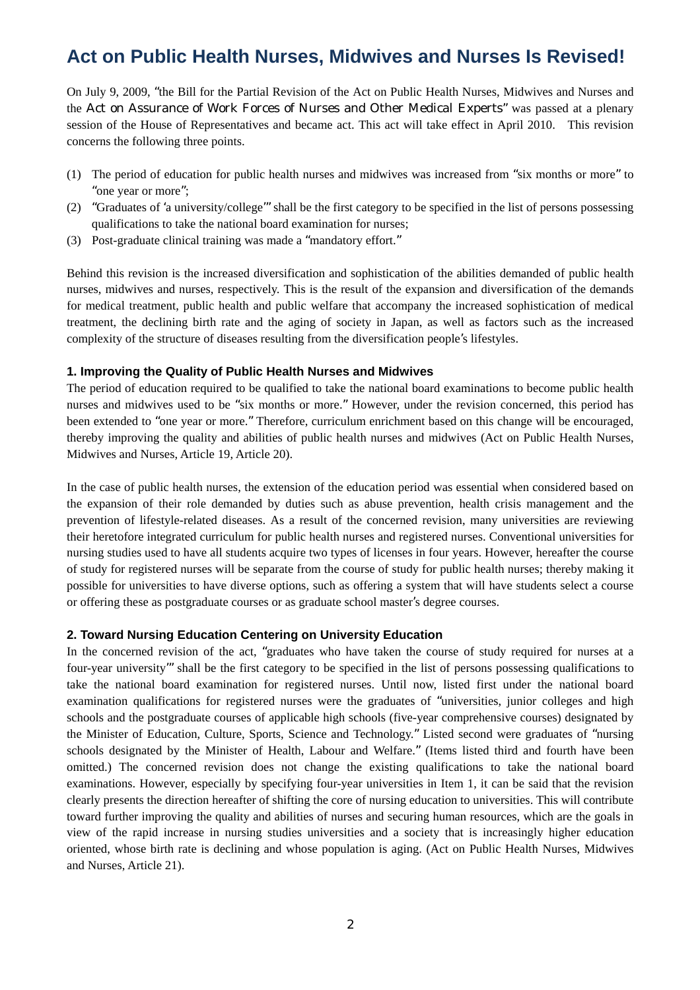# **Act on Public Health Nurses, Midwives and Nurses Is Revised!**

On July 9, 2009, "the Bill for the Partial Revision of the Act on Public Health Nurses, Midwives and Nurses and the Act on Assurance of Work Forces of Nurses and Other Medical Experts" was passed at a plenary session of the House of Representatives and became act. This act will take effect in April 2010. This revision concerns the following three points.

- (1) The period of education for public health nurses and midwives was increased from "six months or more" to "one year or more";
- (2) "Graduates of 'a university/college'" shall be the first category to be specified in the list of persons possessing qualifications to take the national board examination for nurses;
- (3) Post-graduate clinical training was made a "mandatory effort."

Behind this revision is the increased diversification and sophistication of the abilities demanded of public health nurses, midwives and nurses, respectively. This is the result of the expansion and diversification of the demands for medical treatment, public health and public welfare that accompany the increased sophistication of medical treatment, the declining birth rate and the aging of society in Japan, as well as factors such as the increased complexity of the structure of diseases resulting from the diversification people's lifestyles.

#### **1. Improving the Quality of Public Health Nurses and Midwives**

The period of education required to be qualified to take the national board examinations to become public health nurses and midwives used to be "six months or more." However, under the revision concerned, this period has been extended to "one year or more." Therefore, curriculum enrichment based on this change will be encouraged, thereby improving the quality and abilities of public health nurses and midwives (Act on Public Health Nurses, Midwives and Nurses, Article 19, Article 20).

In the case of public health nurses, the extension of the education period was essential when considered based on the expansion of their role demanded by duties such as abuse prevention, health crisis management and the prevention of lifestyle-related diseases. As a result of the concerned revision, many universities are reviewing their heretofore integrated curriculum for public health nurses and registered nurses. Conventional universities for nursing studies used to have all students acquire two types of licenses in four years. However, hereafter the course of study for registered nurses will be separate from the course of study for public health nurses; thereby making it possible for universities to have diverse options, such as offering a system that will have students select a course or offering these as postgraduate courses or as graduate school master's degree courses.

#### **2. Toward Nursing Education Centering on University Education**

In the concerned revision of the act, "graduates who have taken the course of study required for nurses at a four-year university'" shall be the first category to be specified in the list of persons possessing qualifications to take the national board examination for registered nurses. Until now, listed first under the national board examination qualifications for registered nurses were the graduates of "universities, junior colleges and high schools and the postgraduate courses of applicable high schools (five-year comprehensive courses) designated by the Minister of Education, Culture, Sports, Science and Technology." Listed second were graduates of "nursing schools designated by the Minister of Health, Labour and Welfare." (Items listed third and fourth have been omitted.) The concerned revision does not change the existing qualifications to take the national board examinations. However, especially by specifying four-year universities in Item 1, it can be said that the revision clearly presents the direction hereafter of shifting the core of nursing education to universities. This will contribute toward further improving the quality and abilities of nurses and securing human resources, which are the goals in view of the rapid increase in nursing studies universities and a society that is increasingly higher education oriented, whose birth rate is declining and whose population is aging. (Act on Public Health Nurses, Midwives and Nurses, Article 21).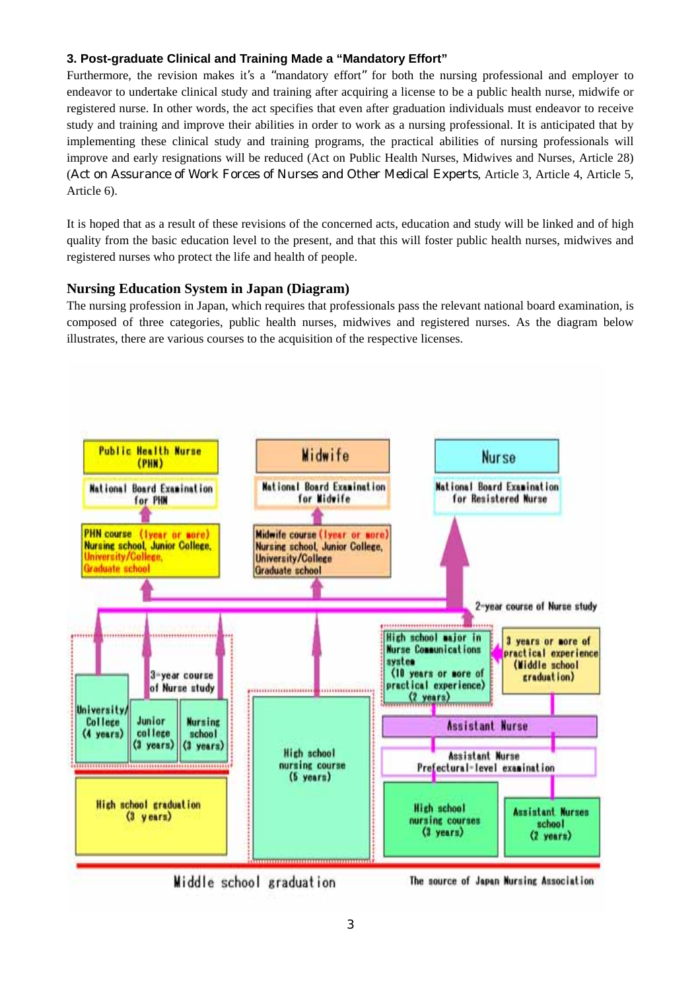# **3. Post-graduate Clinical and Training Made a "Mandatory Effort"**

Furthermore, the revision makes it's a "mandatory effort" for both the nursing professional and employer to endeavor to undertake clinical study and training after acquiring a license to be a public health nurse, midwife or registered nurse. In other words, the act specifies that even after graduation individuals must endeavor to receive study and training and improve their abilities in order to work as a nursing professional. It is anticipated that by implementing these clinical study and training programs, the practical abilities of nursing professionals will improve and early resignations will be reduced (Act on Public Health Nurses, Midwives and Nurses, Article 28) (Act on Assurance of Work Forces of Nurses and Other Medical Experts, Article 3, Article 4, Article 5, Article 6).

It is hoped that as a result of these revisions of the concerned acts, education and study will be linked and of high quality from the basic education level to the present, and that this will foster public health nurses, midwives and registered nurses who protect the life and health of people.

# **Nursing Education System in Japan (Diagram)**

The nursing profession in Japan, which requires that professionals pass the relevant national board examination, is composed of three categories, public health nurses, midwives and registered nurses. As the diagram below illustrates, there are various courses to the acquisition of the respective licenses.

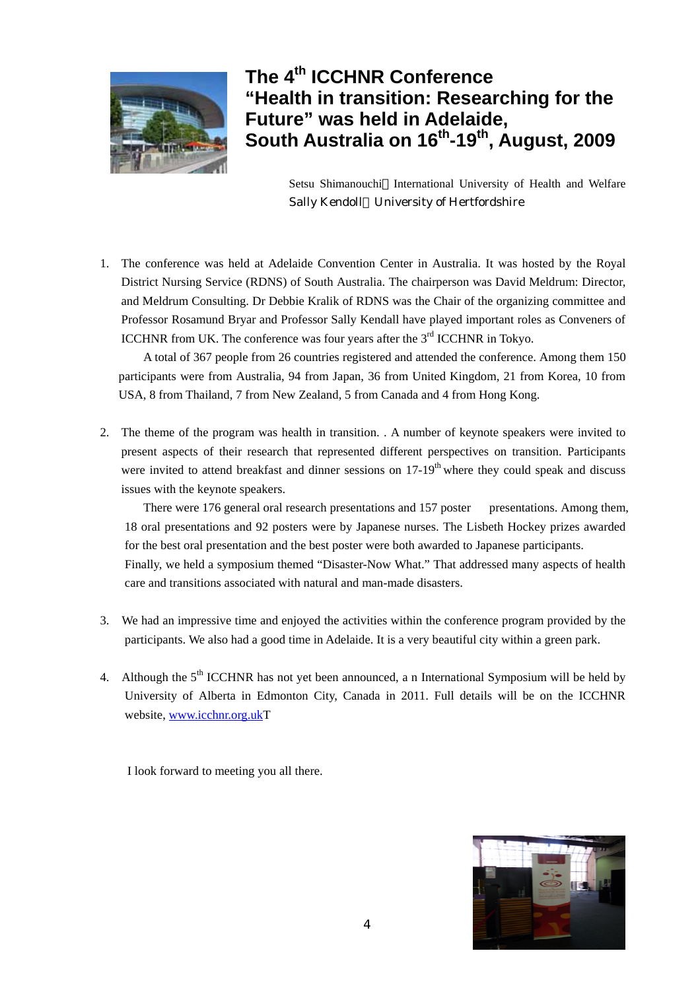

# **The 4th ICCHNR Conference "Health in transition: Researching for the Future" was held in Adelaide, South Australia on 16th-19th, August, 2009**

Setsu Shimanouchi International University of Health and Welfare Sally Kendoll University of Hertfordshire

1. The conference was held at Adelaide Convention Center in Australia. It was hosted by the Royal District Nursing Service (RDNS) of South Australia. The chairperson was David Meldrum: Director, and Meldrum Consulting. Dr Debbie Kralik of RDNS was the Chair of the organizing committee and Professor Rosamund Bryar and Professor Sally Kendall have played important roles as Conveners of ICCHNR from UK. The conference was four years after the 3<sup>rd</sup> ICCHNR in Tokyo.

A total of 367 people from 26 countries registered and attended the conference. Among them 150 participants were from Australia, 94 from Japan, 36 from United Kingdom, 21 from Korea, 10 from USA, 8 from Thailand, 7 from New Zealand, 5 from Canada and 4 from Hong Kong.

2. The theme of the program was health in transition. . A number of keynote speakers were invited to present aspects of their research that represented different perspectives on transition. Participants were invited to attend breakfast and dinner sessions on  $17-19<sup>th</sup>$  where they could speak and discuss issues with the keynote speakers.

There were 176 general oral research presentations and 157 poster presentations. Among them, 18 oral presentations and 92 posters were by Japanese nurses. The Lisbeth Hockey prizes awarded for the best oral presentation and the best poster were both awarded to Japanese participants. Finally, we held a symposium themed "Disaster-Now What." That addressed many aspects of health care and transitions associated with natural and man-made disasters.

- 3. We had an impressive time and enjoyed the activities within the conference program provided by the participants. We also had a good time in Adelaide. It is a very beautiful city within a green park.
- 4. Although the 5<sup>th</sup> ICCHNR has not yet been announced, a n International Symposium will be held by University of Alberta in Edmonton City, Canada in 2011. Full details will be on the ICCHNR website, [www.icchnr.org.ukT](http://www.icchnr.org.uk)

I look forward to meeting you all there.

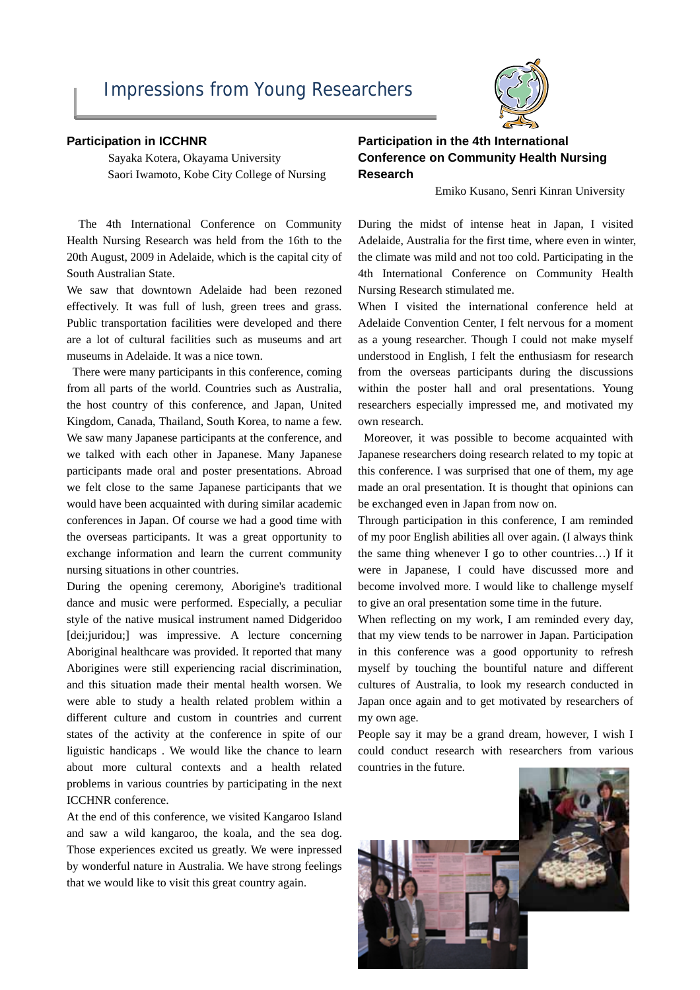#### **Participation in ICCHNR**

 Sayaka Kotera, Okayama University Saori Iwamoto, Kobe City College of Nursing

The 4th International Conference on Community Health Nursing Research was held from the 16th to the 20th August, 2009 in Adelaide, which is the capital city of South Australian State.

We saw that downtown Adelaide had been rezoned effectively. It was full of lush, green trees and grass. Public transportation facilities were developed and there are a lot of cultural facilities such as museums and art museums in Adelaide. It was a nice town.

There were many participants in this conference, coming from all parts of the world. Countries such as Australia, the host country of this conference, and Japan, United Kingdom, Canada, Thailand, South Korea, to name a few. We saw many Japanese participants at the conference, and we talked with each other in Japanese. Many Japanese participants made oral and poster presentations. Abroad we felt close to the same Japanese participants that we would have been acquainted with during similar academic conferences in Japan. Of course we had a good time with the overseas participants. It was a great opportunity to exchange information and learn the current community nursing situations in other countries.

During the opening ceremony, Aborigine's traditional dance and music were performed. Especially, a peculiar style of the native musical instrument named Didgeridoo [dei;juridou;] was impressive. A lecture concerning Aboriginal healthcare was provided. It reported that many Aborigines were still experiencing racial discrimination, and this situation made their mental health worsen. We were able to study a health related problem within a different culture and custom in countries and current states of the activity at the conference in spite of our liguistic handicaps . We would like the chance to learn about more cultural contexts and a health related problems in various countries by participating in the next ICCHNR conference.

At the end of this conference, we visited Kangaroo Island and saw a wild kangaroo, the koala, and the sea dog. Those experiences excited us greatly. We were inpressed by wonderful nature in Australia. We have strong feelings that we would like to visit this great country again.

# **Participation in the 4th International Conference on Community Health Nursing Research**

Emiko Kusano, Senri Kinran University

During the midst of intense heat in Japan, I visited Adelaide, Australia for the first time, where even in winter, the climate was mild and not too cold. Participating in the 4th International Conference on Community Health Nursing Research stimulated me.

When I visited the international conference held at Adelaide Convention Center, I felt nervous for a moment as a young researcher. Though I could not make myself understood in English, I felt the enthusiasm for research from the overseas participants during the discussions within the poster hall and oral presentations. Young researchers especially impressed me, and motivated my own research.

Moreover, it was possible to become acquainted with Japanese researchers doing research related to my topic at this conference. I was surprised that one of them, my age made an oral presentation. It is thought that opinions can be exchanged even in Japan from now on.

Through participation in this conference, I am reminded of my poor English abilities all over again. (I always think the same thing whenever I go to other countries…) If it were in Japanese, I could have discussed more and become involved more. I would like to challenge myself to give an oral presentation some time in the future.

When reflecting on my work, I am reminded every day, that my view tends to be narrower in Japan. Participation in this conference was a good opportunity to refresh myself by touching the bountiful nature and different cultures of Australia, to look my research conducted in Japan once again and to get motivated by researchers of my own age.

People say it may be a grand dream, however, I wish I could conduct research with researchers from various countries in the future.



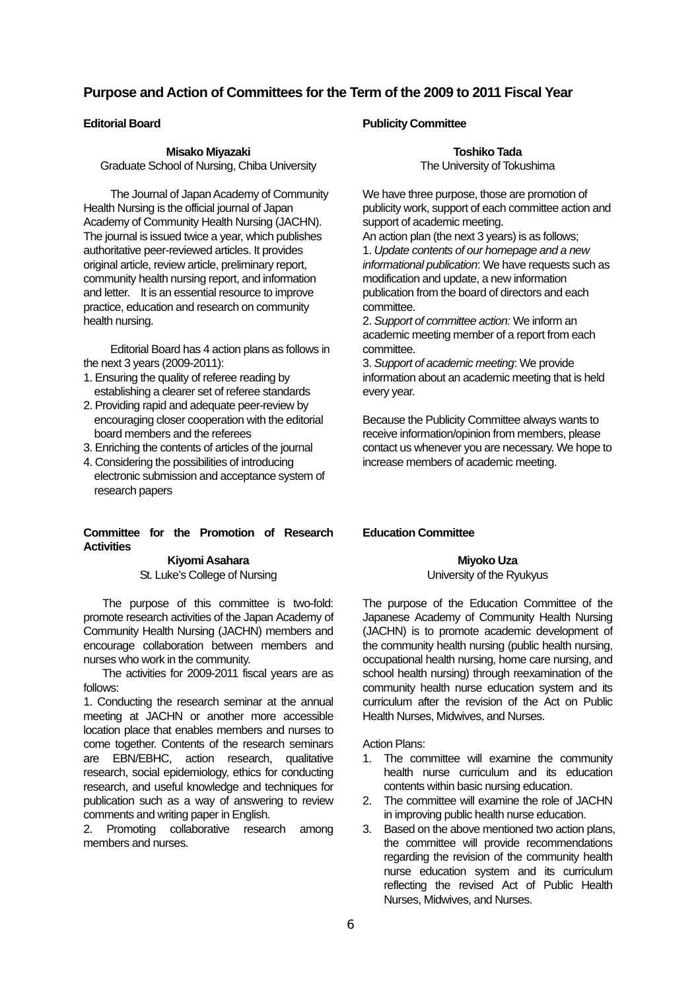# **Purpose and Action of Committees for the Term of the 2009 to 2011 Fiscal Year**

## **Editorial Board**

#### **Misako Miyazaki**

Graduate School of Nursing, Chiba University

The Journal of Japan Academy of Community Health Nursing is the official journal of Japan Academy of Community Health Nursing (JACHN). The journal is issued twice a year, which publishes authoritative peer-reviewed articles. It provides original article, review article, preliminary report, community health nursing report, and information and letter. It is an essential resource to improve practice, education and research on community health nursing.

 Editorial Board has 4 action plans as follows in the next 3 years (2009-2011):

- 1. Ensuring the quality of referee reading by establishing a clearer set of referee standards
- 2. Providing rapid and adequate peer-review by encouraging closer cooperation with the editorial board members and the referees
- 3. Enriching the contents of articles of the journal
- 4. Considering the possibilities of introducing electronic submission and acceptance system of research papers

## **Committee for the Promotion of Research Activities**

#### **Kiyomi Asahara**  St. Luke's College of Nursing

The purpose of this committee is two-fold: promote research activities of the Japan Academy of Community Health Nursing (JACHN) members and encourage collaboration between members and nurses who work in the community.

The activities for 2009-2011 fiscal years are as follows:

1. Conducting the research seminar at the annual meeting at JACHN or another more accessible location place that enables members and nurses to come together. Contents of the research seminars are EBN/EBHC, action research, qualitative research, social epidemiology, ethics for conducting research, and useful knowledge and techniques for publication such as a way of answering to review comments and writing paper in English.

2. Promoting collaborative research among members and nurses.

## **Publicity Committee**

**Toshiko Tada**  The University of Tokushima

We have three purpose, those are promotion of publicity work, support of each committee action and support of academic meeting.

An action plan (the next 3 years) is as follows; 1. *Update contents of our homepage and a new informational publication*: We have requests such as modification and update, a new information publication from the board of directors and each committee.

2. *Support of committee action:* We inform an academic meeting member of a report from each committee.

3. *Support of academic meeting*: We provide information about an academic meeting that is held every year.

Because the Publicity Committee always wants to receive information/opinion from members, please contact us whenever you are necessary. We hope to increase members of academic meeting.

## **Education Committee**

**Miyoko Uza**  University of the Ryukyus

The purpose of the Education Committee of the Japanese Academy of Community Health Nursing (JACHN) is to promote academic development of the community health nursing (public health nursing, occupational health nursing, home care nursing, and school health nursing) through reexamination of the community health nurse education system and its curriculum after the revision of the Act on Public Health Nurses, Midwives, and Nurses.

Action Plans:

- 1. The committee will examine the community health nurse curriculum and its education contents within basic nursing education.
- 2. The committee will examine the role of JACHN in improving public health nurse education.
- 3. Based on the above mentioned two action plans, the committee will provide recommendations regarding the revision of the community health nurse education system and its curriculum reflecting the revised Act of Public Health Nurses, Midwives, and Nurses.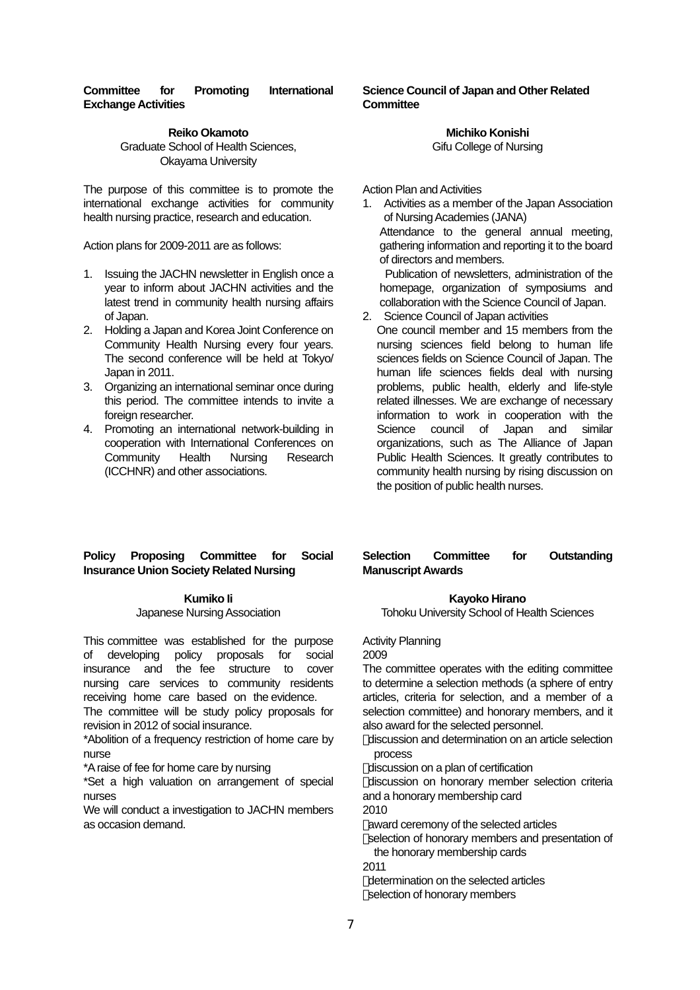## **Committee for Promoting International Exchange Activities**

**Reiko Okamoto**  Graduate School of Health Sciences, Okayama University

The purpose of this committee is to promote the international exchange activities for community health nursing practice, research and education.

Action plans for 2009-2011 are as follows:

- 1. Issuing the JACHN newsletter in English once a year to inform about JACHN activities and the latest trend in community health nursing affairs of Japan.
- 2. Holding a Japan and Korea Joint Conference on Community Health Nursing every four years. The second conference will be held at Tokyo/ Japan in 2011.
- 3. Organizing an international seminar once during this period. The committee intends to invite a foreign researcher.
- 4. Promoting an international network-building in cooperation with International Conferences on Community Health Nursing Research (ICCHNR) and other associations.

## **Science Council of Japan and Other Related Committee**

## **Michiko Konishi**

Gifu College of Nursing

Action Plan and Activities

1. Activities as a member of the Japan Association of Nursing Academies (JANA) Attendance to the general annual meeting, gathering information and reporting it to the board of directors and members.

Publication of newsletters, administration of the homepage, organization of symposiums and collaboration with the Science Council of Japan.

- 2. Science Council of Japan activities
	- One council member and 15 members from the nursing sciences field belong to human life sciences fields on Science Council of Japan. The human life sciences fields deal with nursing problems, public health, elderly and life-style related illnesses. We are exchange of necessary information to work in cooperation with the Science council of Japan and similar organizations, such as The Alliance of Japan Public Health Sciences. It greatly contributes to community health nursing by rising discussion on the position of public health nurses.

## **Policy Proposing Committee for Social Insurance Union Society Related Nursing**

#### **Kumiko Ii**

#### Japanese Nursing Association

This committee was established for the purpose of developing policy proposals for social insurance and the fee structure to cover nursing care services to community residents receiving home care based on the evidence.

The committee will be study policy proposals for revision in 2012 of social insurance.

\*Abolition of a frequency restriction of home care by nurse

\*A raise of fee for home care by nursing

\*Set a high valuation on arrangement of special nurses

We will conduct a investigation to JACHN members as occasion demand.

## **Selection Committee for Outstanding Manuscript Awards**

#### **Kayoko Hirano**

Tohoku University School of Health Sciences

Activity Planning

2009

The committee operates with the editing committee to determine a selection methods (a sphere of entry articles, criteria for selection, and a member of a selection committee) and honorary members, and it also award for the selected personnel.

discussion and determination on an article selection process

discussion on a plan of certification

discussion on honorary member selection criteria and a honorary membership card

2010

award ceremony of the selected articles

selection of honorary members and presentation of the honorary membership cards

2011

determination on the selected articles selection of honorary members